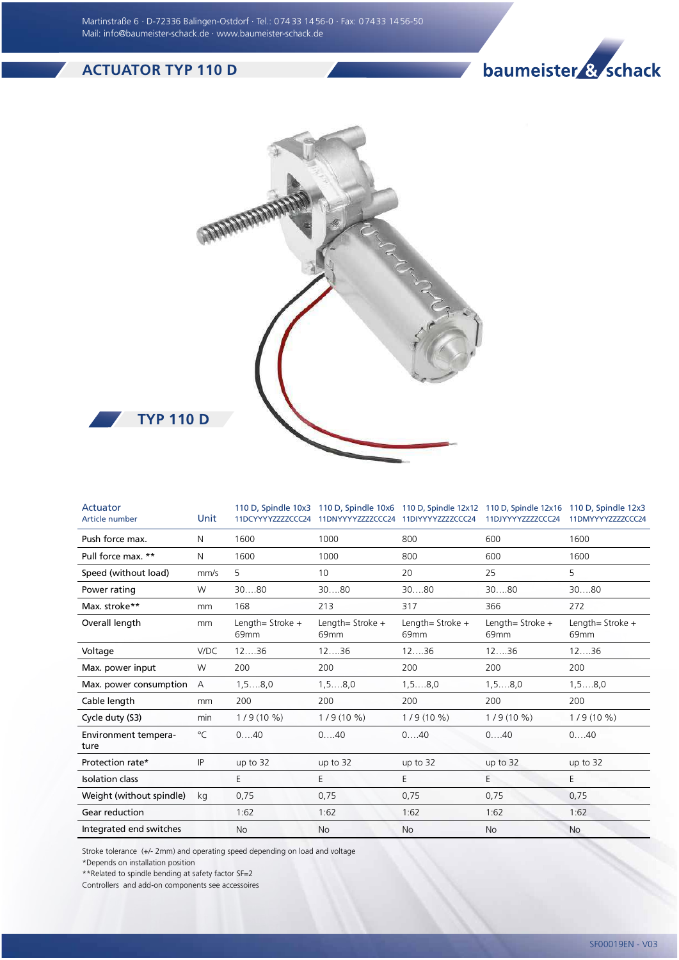Martinstraße 6 · D-72336 Balingen-Ostdorf · Tel.: 0 74 33 14 56-0 · Fax: 0 74 33 14 56-50 Mail: info@baumeister-schack.de · www.baumeister-schack.de

## ACTUATOR TYP 110 D





| Actuator<br>Article number   | Unit         | 11DCYYYYZZZZCCC24                      | 110 D, Spindle 10x3 110 D, Spindle 10x6 110 D, Spindle 12x12 110 D, Spindle 12x16 110 D, Spindle 12x3<br>11DNYYYYZZZZCCC24 11DIYYYYZZZZCCC24 |                                      | 11DJYYYYZZZZCCC24                    | 11DMYYYYZZZZCCC24                      |
|------------------------------|--------------|----------------------------------------|----------------------------------------------------------------------------------------------------------------------------------------------|--------------------------------------|--------------------------------------|----------------------------------------|
| Push force max.              | N            | 1600                                   | 1000                                                                                                                                         | 800                                  | 600                                  | 1600                                   |
| Pull force max. **           | N            | 1600                                   | 1000                                                                                                                                         | 800                                  | 600                                  | 1600                                   |
| Speed (without load)         | mm/s         | 5                                      | 10                                                                                                                                           | 20                                   | 25                                   | 5                                      |
| Power rating                 | W            | 3080                                   | 3080                                                                                                                                         | 3080                                 | 3080                                 | 3080                                   |
| Max. stroke**                | mm           | 168                                    | 213                                                                                                                                          | 317                                  | 366                                  | 272                                    |
| Overall length               | mm           | Length= Stroke $+$<br>69 <sub>mm</sub> | Length= Stroke $+$<br>69 <sub>mm</sub>                                                                                                       | Length= Stroke +<br>69 <sub>mm</sub> | Length= Stroke +<br>69 <sub>mm</sub> | Length= Stroke $+$<br>69 <sub>mm</sub> |
| Voltage                      | V/DC         | 1236                                   | 1236                                                                                                                                         | 1236                                 | 1236                                 | 1236                                   |
| Max. power input             | W            | 200                                    | 200                                                                                                                                          | 200                                  | 200                                  | 200                                    |
| Max. power consumption       | Α            | 1, 58, 0                               | 1, 58, 0                                                                                                                                     | $1, 5, \ldots 8, 0$                  | 1, 58, 0                             | $1, 5, \ldots, 8, 0$                   |
| Cable length                 | mm           | 200                                    | 200                                                                                                                                          | 200                                  | 200                                  | 200                                    |
| Cycle duty (S3)              | min          | $1/9(10\%)$                            | $1/9(10\%)$                                                                                                                                  | $1/9(10\%)$                          | $1/9(10\%)$                          | $1/9(10\%)$                            |
| Environment tempera-<br>ture | $^{\circ}$ C | 040                                    | 040                                                                                                                                          | 040                                  | 040                                  | 040                                    |
| Protection rate*             | IP           | up to 32                               | up to $32$                                                                                                                                   | up to $32$                           | up to 32                             | up to $32$                             |
| <b>Isolation class</b>       |              | E                                      | E                                                                                                                                            | E                                    | E                                    | Е                                      |
| Weight (without spindle)     | kg           | 0,75                                   | 0,75                                                                                                                                         | 0,75                                 | 0,75                                 | 0,75                                   |
| Gear reduction               |              | 1:62                                   | 1:62                                                                                                                                         | 1:62                                 | 1:62                                 | 1:62                                   |
| Integrated end switches      |              | <b>No</b>                              | <b>No</b>                                                                                                                                    | <b>No</b>                            | <b>No</b>                            | <b>No</b>                              |

Stroke tolerance (+/- 2mm) and operating speed depending on load and voltage

\*Depends on installation position

\*\*Related to spindle bending at safety factor SF=2

Controllers and add-on components see accessoires